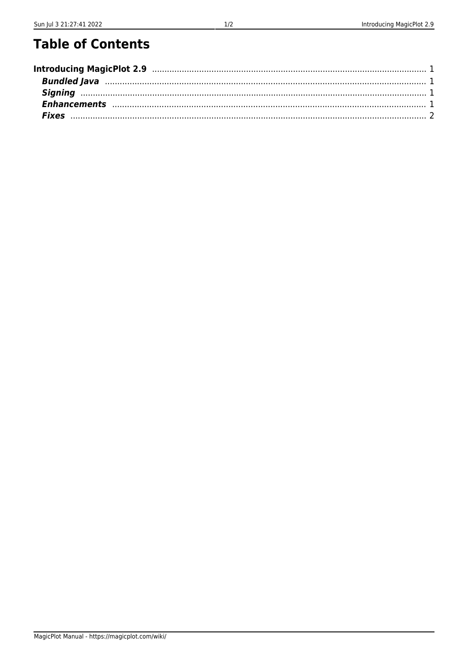## **Table of Contents**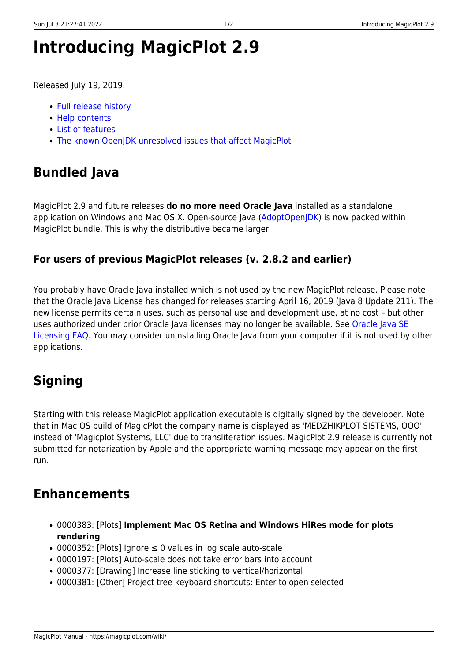# <span id="page-2-0"></span>**Introducing MagicPlot 2.9**

Released July 19, 2019.

- [Full release history](https://magicplot.com/wiki/release_notes)
- [Help contents](https://magicplot.com/wiki/magicplot_wiki_home)
- [List of features](https://magicplot.com/wiki/comparison)
- [The known OpenJDK unresolved issues that affect MagicPlot](https://magicplot.com/wiki/relnotes:external)

## <span id="page-2-1"></span>**Bundled Java**

MagicPlot 2.9 and future releases **do no more need Oracle Java** installed as a standalone application on Windows and Mac OS X. Open-source Java ([AdoptOpenJDK](https://adoptopenjdk.net)) is now packed within MagicPlot bundle. This is why the distributive became larger.

#### **For users of previous MagicPlot releases (v. 2.8.2 and earlier)**

You probably have Oracle Java installed which is not used by the new MagicPlot release. Please note that the Oracle Java License has changed for releases starting April 16, 2019 (Java 8 Update 211). The new license permits certain uses, such as personal use and development use, at no cost – but other uses authorized under prior Oracle Java licenses may no longer be available. See [Oracle Java SE](https://www.oracle.com/technetwork/java/javase/overview/oracle-jdk-faqs.html) [Licensing FAQ](https://www.oracle.com/technetwork/java/javase/overview/oracle-jdk-faqs.html). You may consider uninstalling Oracle Java from your computer if it is not used by other applications.

## <span id="page-2-2"></span>**Signing**

Starting with this release MagicPlot application executable is digitally signed by the developer. Note that in Mac OS build of MagicPlot the company name is displayed as 'MEDZHIKPLOT SISTEMS, OOO' instead of 'Magicplot Systems, LLC' due to transliteration issues. MagicPlot 2.9 release is currently not submitted for notarization by Apple and the appropriate warning message may appear on the first run.

## <span id="page-2-3"></span>**Enhancements**

- 0000383: [Plots] **Implement Mac OS Retina and Windows HiRes mode for plots rendering**
- 0000352: [Plots] Ignore ≤ 0 values in log scale auto-scale
- 0000197: [Plots] Auto-scale does not take error bars into account
- 0000377: [Drawing] Increase line sticking to vertical/horizontal
- 0000381: [Other] Project tree keyboard shortcuts: Enter to open selected